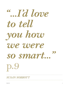## *...I'd love "to tell you how we were so smart..."* **p.9**

*SUSAN SOBBOTT*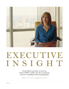

## EXECUTIVE INSIGHT

**Susan Sobbott, president of American Express OPEN, explains why she's a passionate advocate of shopping small and going digital.**

**WORDS BY** *Caroline Waxler |* **PORTRAITS BY** *Ross Mantle*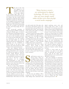his part of the room was supposed to be furnished," says Susan Sobbott as she points to the space adjacent to her kitchen table. We're at her century-old Arts and Crafts-style home (an 'antique' that she's nearly finished restoring) in a leafy New Jersey suburb. "But this is our playroom. The kids come in. Our daughter can do cartwheels. Our son can set up his LEGO. It's a totally flexible space. My husband keeps saying, 'When are we going to get furniture for this?' And I keep saying, 'We can't. It's open.'"

The 48-year-old president of American Express OPEN certainly has a thing for flexible spaces. As head of the corporation's third-largest business unit – and its only sub-brand – she may have been at this venerable institution for 22 years, but she thinks like a startup entrepreneur. It's this thinking that has made OPEN not only the leading card issuer for small businesses nationwide but has established its OPEN Forum as *the* go-to online resource and social network for small business owners and entrepreneurs.

This year, Sobbott's division is celebrating its twenty-fifth anniversary. Having started life in 1987, catering to an under-served market as American Express Small Business Services, it was rebranded in 2002. "The brand was created prior to me and so everyone who owns it will have a different interpretation [of its meaning]. My interpretation is that OPEN comes from that seminal moment for a business owner when they declare that they are 'open for business.'

"We try to learn from companies," she continues, speaking of the customers she serves. "Not only because I've fallen in love with them, but because they inspire us to get to know them better." To that end, American Express OPEN took up residence at one of the coworking spaces owned by tech incubator WeWork Labs. "We do that so our team

*"Many business owners are intimidated by digital technology. We have a survey that says more people would rather do their taxes then develop a social media campaign."*

can walk outside their little glass cube and interact with business owners who are around them and say, 'What do you think about this or that?'" Her team also works closely with another co-working space, General Assembly.

It doesn't stop at conversation. OPEN offers its employees the opportunity to participate in an 'externship' program. Here, employees act like a small consulting team, living with a business for a period of time and gaining the insights required to solve potential problems they may be experiencing.

Sobbott knows that this is good business. "We're trying to help businesses grow and we're trying to help provide them with whatever we can to get them the support they need." In turn, as they grow, they'll become better customers.

mall business owners are a diverse group. "There are 25 million of them," Sobbott says. "They range from your dentist to the woman who is making jewelry on her dining room table to a tech start-up." And not all of them are eager to embrace digital. "Many business owners are quite intimidated by it," she admits. "We have a survey that says more people would rather do their taxes then develop a social media campaign."

To that end, says Sobbott, "We're focusing our time and attention on really helping them understand what

digital marketing assets exist, and letting people know where to find them. In fact," she continues, "one of the things we did recently on OPEN Forum was to put in something called 'Crash Courses.' Crash Courses are bite-sized 'how-tos' on various topics. It's a simple principle that as the business grows, we grow with them and our bottom line is impacted in that way."

That's not to say that the bottom line is the *only* consideration. For Sobbott, success is measured first and rt by the "quality of the experience" that American Express provides its customers, as well as the number of people the business reaches through its work.

Central to those goals are the company's own plans in the digital space. In particular, the decision to partner with all the major social media platforms to serve up innovative offerings to customers.

One such campaign on Facebook, 'Link, Like, Love,' serves up discounts based on the user's interests that are automatically put on the member's card and redeemed at the point of purchase. "You don't have to bring a coupon, you don't have to remember a code, and the person at the point-of-sale doesn't have to do anything," Sobbott explains. The initiative is symptomatic of everything American Express does: "We want to bring value to our customers, and the way we bring value is by getting them access to things that they couldn't otherwise get access to."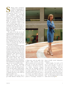obbott's major contribution to OPEN is undoubtedly her creation of Small Business Saturday. Taking place over Thanksgiving weekend, it's the day when consumers are encouraged and rewarded for shopping at small businesses. "Put yourself back in 2010; nobody knew where the world was going," says Sobbott. "I kept thinking, 'What can American Express do to help our customers?' I knew it had to be something bigger than us, so I challenged the team: 'Tell me how we can bring all of American Express to benefit our small business customers.'" What their customers needed, says Sobbott, was traffic.

The germ of the idea was to ask American Express customers to shop at small businesses. "And then I thought, 'Why are we stopping at *our* customers? Why don't we just ask all of America to shop at small businesses?'" Great idea, but Thanksgiving was only six weeks away. "We knew that the only way we could do something that could scale was through social media."

First up was a Facebook promotion that saw American Express offer \$100 in free Facebook advertising to the first 10,000 business owners to sign up to the campaign. Facebook Ads helped those businesses build online buzz and drive engagement, while American Express supported them with a Facebook Pages set-up guide and a central hub that housed, among other things, toolkit components and a directory of businesses involved in the promotion. The Small Business Saturday Facebook page now has over 2.8 million 'Likes.'

Over on YouTube, meanwhile, American Express teamed up with Google to create 'My Business Story,' a free tool that allows small business owners to create professional-quality videos. It's just one of the company's 57 playlists that have so far racked up almost 20 million views.

Still, Sobbott's team knew that to get Small Business Saturday off to



a flying start with the public, they needed a killer incentive. So they offered customers \$25 in credit if they spent \$25 in stores and restaurants. It worked so well that by year two 100 million Americans shopped small, with the campaign achieving 65 percent awareness. "We had over 200 public organizations join us, 75 corporate partners, and every state in the country," says Sobbott. There was even a bipartisan Senate Resolution passed to encourage consumers to

shop at locally owned, independent businesses.

Sobbott laughs. "As much as I'd love to tell you how we were so smart and so strategic – I mean, we *were* smart and strategic – but, boy, we struck gold. We tapped into a passion and energy that was already very prevalent. Everyone wants to kick start the economy. We just gave people a simple action to help do their part – by encouraging them to shop small. And it was huge  $\bullet$